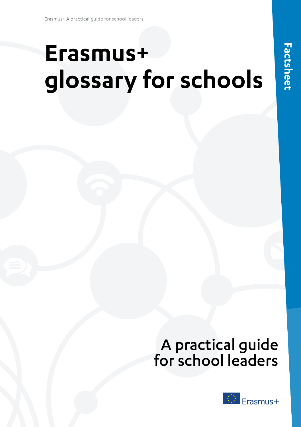## **Erasmus+ glossary for schools**

## A practical guide for school leaders

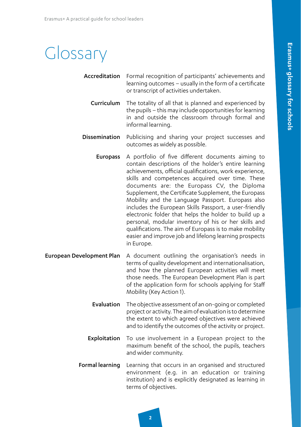## Glossary

- Accreditation Formal recognition of participants' achievements and learning outcomes – usually in the form of a certificate or transcript of activities undertaken.
	- Curriculum The totality of all that is planned and experienced by the pupils – this may include opportunities for learning in and outside the classroom through formal and informal learning.
- Dissemination Publicising and sharing your project successes and outcomes as widely as possible.
	- Europass A portfolio of five different documents aiming to contain descriptions of the holder's entire learning achievements, official qualifications, work experience, skills and competences acquired over time. These documents are: the Europass CV, the Diploma Supplement, the Certificate Supplement, the Europass Mobility and the Language Passport. Europass also includes the European Skills Passport, a user-friendly electronic folder that helps the holder to build up a personal, modular inventory of his or her skills and qualifications. The aim of Europass is to make mobility easier and improve job and lifelong learning prospects in Europe.
- European Development Plan A document outlining the organisation's needs in terms of quality development and internationalisation, and how the planned European activities will meet those needs. The European Development Plan is part of the application form for schools applying for Staff Mobility (Key Action 1).
	- **Evaluation** The objective assessment of an on-going or completed project or activity. The aim of evaluation is to determine the extent to which agreed objectives were achieved and to identify the outcomes of the activity or project.
	- Exploitation To use involvement in a European project to the maximum benefit of the school, the pupils, teachers and wider community.
	- Formal learning Learning that occurs in an organised and structured environment (e.g. in an education or training institution) and is explicitly designated as learning in terms of objectives.